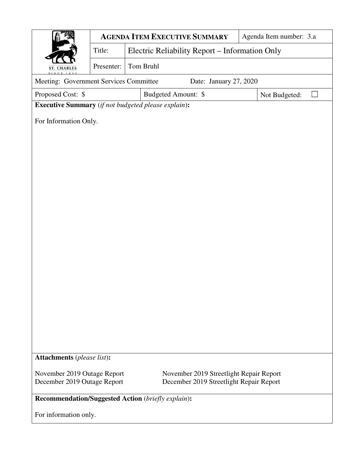|                                                                        |                       |                                                | <b>AGENDA ITEM EXECUTIVE SUMMARY</b> | Agenda Item number: 3.a |  |  |  |  |  |
|------------------------------------------------------------------------|-----------------------|------------------------------------------------|--------------------------------------|-------------------------|--|--|--|--|--|
|                                                                        | Title:                | Electric Reliability Report – Information Only |                                      |                         |  |  |  |  |  |
| <b>ST. CHARLES</b>                                                     | Presenter:            | Tom Bruhl                                      |                                      |                         |  |  |  |  |  |
| Meeting: Government Services Committee<br>Date: January 27, 2020       |                       |                                                |                                      |                         |  |  |  |  |  |
| Budgeted Amount: \$<br>Proposed Cost: \$<br>Not Budgeted:              |                       |                                                |                                      |                         |  |  |  |  |  |
| <b>Executive Summary</b> (if not budgeted please explain):             |                       |                                                |                                      |                         |  |  |  |  |  |
|                                                                        | For Information Only. |                                                |                                      |                         |  |  |  |  |  |
|                                                                        |                       |                                                |                                      |                         |  |  |  |  |  |
|                                                                        |                       |                                                |                                      |                         |  |  |  |  |  |
|                                                                        |                       |                                                |                                      |                         |  |  |  |  |  |
|                                                                        |                       |                                                |                                      |                         |  |  |  |  |  |
|                                                                        |                       |                                                |                                      |                         |  |  |  |  |  |
|                                                                        |                       |                                                |                                      |                         |  |  |  |  |  |
|                                                                        |                       |                                                |                                      |                         |  |  |  |  |  |
|                                                                        |                       |                                                |                                      |                         |  |  |  |  |  |
|                                                                        |                       |                                                |                                      |                         |  |  |  |  |  |
|                                                                        |                       |                                                |                                      |                         |  |  |  |  |  |
|                                                                        |                       |                                                |                                      |                         |  |  |  |  |  |
|                                                                        |                       |                                                |                                      |                         |  |  |  |  |  |
|                                                                        |                       |                                                |                                      |                         |  |  |  |  |  |
|                                                                        |                       |                                                |                                      |                         |  |  |  |  |  |
|                                                                        |                       |                                                |                                      |                         |  |  |  |  |  |
|                                                                        |                       |                                                |                                      |                         |  |  |  |  |  |
|                                                                        |                       |                                                |                                      |                         |  |  |  |  |  |
|                                                                        |                       |                                                |                                      |                         |  |  |  |  |  |
| Attachments (please list):                                             |                       |                                                |                                      |                         |  |  |  |  |  |
| November 2019 Outage Report<br>November 2019 Streetlight Repair Report |                       |                                                |                                      |                         |  |  |  |  |  |
| December 2019 Outage Report<br>December 2019 Streetlight Repair Report |                       |                                                |                                      |                         |  |  |  |  |  |
| <b>Recommendation/Suggested Action</b> (briefly explain):              |                       |                                                |                                      |                         |  |  |  |  |  |
| For information only.                                                  |                       |                                                |                                      |                         |  |  |  |  |  |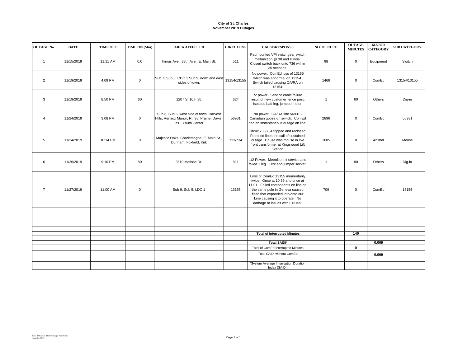## **City of St. Charles November 2019 Outages**

| <b>OUTAGE No.</b> | <b>DATE</b> | <b>TIME OFF</b> | TIME ON (Min) | <b>AREA AFFECTED</b>                                                                                          | <b>CIRCUIT No.</b> | <b>CAUSE/RESPONSE</b>                                                                                                                                                                                                                                | NO. OF CUST. | <b>OUTAGE</b><br><b>MINUTES</b> | <b>MAJOR</b><br><b>CATEGORY</b> | <b>SUB CATEGORY</b> |
|-------------------|-------------|-----------------|---------------|---------------------------------------------------------------------------------------------------------------|--------------------|------------------------------------------------------------------------------------------------------------------------------------------------------------------------------------------------------------------------------------------------------|--------------|---------------------------------|---------------------------------|---------------------|
| $\mathbf{1}$      | 11/15/2019  | 11:11 AM        | 0.0           | Illinois Ave., 38th Ave., E. Main St.                                                                         | 511                | Padmounted VFI switchgear switch<br>malfunction @ 38 and Illinois.<br>Closed switch back onto 736 within<br>30 seconds.                                                                                                                              | 98           | $\mathsf 0$                     | Equipment                       | Switch              |
| $\overline{2}$    | 11/19/2019  | 4:09 PM         | $\mathbf 0$   | Sub 7, Sub 5, CDC 1 Sub 9, north and east<br>sides of town.                                                   | 13154/13155        | No power. ComEd loss of 13155<br>which was abnormal on 13154.<br>Switch failed causing OA/RA on<br>13154.                                                                                                                                            | 1466         | $\mathbf 0$                     | ComEd                           | 13154/13155         |
| 3                 | 11/19/2019  | 8:50 PM         | 60            | 1207 S. 10th St.                                                                                              | 624                | 1/2 power. Service cable failure,<br>result of new customer fence post.<br>Isolated bad leg, jumped meter.                                                                                                                                           |              | 60                              | Others                          | Dig-in              |
| $\overline{4}$    | 11/24/2019  | 3:08 PM         | $\mathbf 0$   | Sub 8, Sub 6, west side of town, Harvest<br>Hills, Renaux Manor, Rt. 38, Prairie, Davis,<br>IYC, Youth Center | 56931              | No power. OA/RA line 56931 -<br>Canadian goose on switch. ComEd<br>had an instantaneous outage on line.                                                                                                                                              | 2896         | $\mathsf 0$                     | ComEd                           | 56931               |
| 5                 | 11/24/2019  | 10:14 PM        | $\mathbf 0$   | Majestic Oaks, Charlemagne, E. Main St.,<br>Dunham, Foxfield, Kirk                                            | 733/734            | Circuit 733/734 tripped and reclosed.<br>Patrolled lines, no call of sustained<br>outage. Cause was mouse in live<br>front transformer at Kingswood Lift<br>Station                                                                                  | 1085         | $\mathbf 0$                     | Animal                          | Mouse               |
| 6                 | 11/26/2019  | 9:10 PM         | 80            | 3610 Matisse Dr.                                                                                              | 811                | 1/2 Power. MetroNet hit service and<br>failed 1 leg. Test and jumper socket.                                                                                                                                                                         |              | 80                              | Others                          | Dig-in              |
| $\overline{7}$    | 11/27/2019  | 11:00 AM        | $\mathbf 0$   | Sub 9, Sub 5, LDC 1                                                                                           | 13155              | Loss of ComEd 13155 momentarily<br>twice. Once at 10:59 and once at<br>11:01. Failed components on line on<br>the same pole in Geneva caused<br>flash that expanded into/onto our<br>Line causing it to operate. No<br>damage or issues with L13155. | 709          | $\mathsf 0$                     | ComEd                           | 13155               |
|                   |             |                 |               |                                                                                                               |                    |                                                                                                                                                                                                                                                      |              |                                 |                                 |                     |
|                   |             |                 |               |                                                                                                               |                    |                                                                                                                                                                                                                                                      |              |                                 |                                 |                     |
|                   |             |                 |               |                                                                                                               |                    | <b>Total of Interrupted Minutes</b>                                                                                                                                                                                                                  |              | 140                             |                                 |                     |
|                   |             |                 |               |                                                                                                               |                    | <b>Total SAIDI*</b>                                                                                                                                                                                                                                  |              |                                 | 0.009                           |                     |
|                   |             |                 |               |                                                                                                               |                    | Total of ComEd Interrupted Minutes                                                                                                                                                                                                                   |              | $\mathbf 0$                     |                                 |                     |
|                   |             |                 |               |                                                                                                               |                    | Total SAIDI without ComEd                                                                                                                                                                                                                            |              |                                 | 0.009                           |                     |
|                   |             |                 |               |                                                                                                               |                    |                                                                                                                                                                                                                                                      |              |                                 |                                 |                     |
|                   |             |                 |               |                                                                                                               |                    | *System Average Interruption Duration<br>Index (SAIDI)                                                                                                                                                                                               |              |                                 |                                 |                     |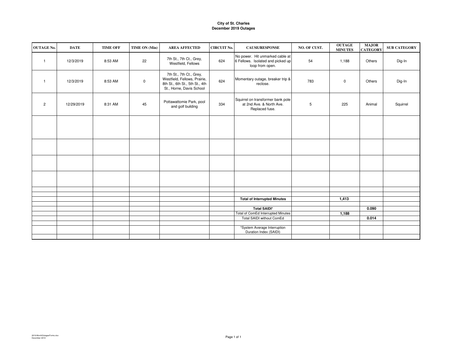## **City of St. CharlesDecember 2019 Outages**

| <b>OUTAGE No.</b> | <b>DATE</b> | <b>TIME OFF</b> | TIME ON (Min) | <b>AREA AFFECTED</b>                                                                                                  | <b>CIRCUIT No.</b> | <b>CAUSE/RESPONSE</b>                                                                   | NO. OF CUST. | <b>OUTAGE</b><br><b>MINUTES</b> | <b>MAJOR</b><br><b>CATEGORY</b> | <b>SUB CATEGORY</b> |
|-------------------|-------------|-----------------|---------------|-----------------------------------------------------------------------------------------------------------------------|--------------------|-----------------------------------------------------------------------------------------|--------------|---------------------------------|---------------------------------|---------------------|
| $\overline{1}$    | 12/3/2019   | 8:53 AM         | 22            | 7th St., 7th Ct., Grey,<br>Westfield, Fellows                                                                         | 624                | No power. Hit unmarked cable at<br>6 Fellows. Isolated and picked up<br>loop from open. | 54           | 1,188                           | Others                          | Dig-In              |
| $\overline{1}$    | 12/3/2019   | 8:53 AM         | $\mathsf 0$   | 7th St., 7th Ct., Grey,<br>Westfield, Fellows, Prairie,<br>8th St., 6th St., 5th St., 4th<br>St., Horne, Davis School | 624                | Momentary outage, breaker trip &<br>reclose.                                            | 783          | $\mathbf 0$                     | Others                          | Dig-In              |
| $\overline{2}$    | 12/29/2019  | 8:31 AM         | 45            | Pottawattomie Park, pool<br>and golf building                                                                         | 334                | Squirrel on transformer bank pole<br>at 2nd Ave. & North Ave.<br>Replaced fuse.         | $\,$ 5       | 225                             | Animal                          | Squirrel            |
|                   |             |                 |               |                                                                                                                       |                    |                                                                                         |              |                                 |                                 |                     |
|                   |             |                 |               |                                                                                                                       |                    |                                                                                         |              |                                 |                                 |                     |
|                   |             |                 |               |                                                                                                                       |                    |                                                                                         |              |                                 |                                 |                     |
|                   |             |                 |               |                                                                                                                       |                    |                                                                                         |              |                                 |                                 |                     |
|                   |             |                 |               |                                                                                                                       |                    |                                                                                         |              |                                 |                                 |                     |
|                   |             |                 |               |                                                                                                                       |                    | <b>Total of Interrupted Minutes</b>                                                     |              | 1,413                           |                                 |                     |
|                   |             |                 |               |                                                                                                                       |                    |                                                                                         |              |                                 |                                 |                     |
|                   |             |                 |               |                                                                                                                       |                    | <b>Total SAIDI*</b>                                                                     |              |                                 | 0.090                           |                     |
|                   |             |                 |               |                                                                                                                       |                    | Total of ComEd Interrupted Minutes                                                      |              | 1,188                           |                                 |                     |
|                   |             |                 |               |                                                                                                                       |                    | Total SAIDI without ComEd                                                               |              |                                 | 0.014                           |                     |
|                   |             |                 |               |                                                                                                                       |                    |                                                                                         |              |                                 |                                 |                     |
|                   |             |                 |               |                                                                                                                       |                    | *System Average Interruption<br>Duration Index (SAIDI)                                  |              |                                 |                                 |                     |
|                   |             |                 |               |                                                                                                                       |                    |                                                                                         |              |                                 |                                 |                     |